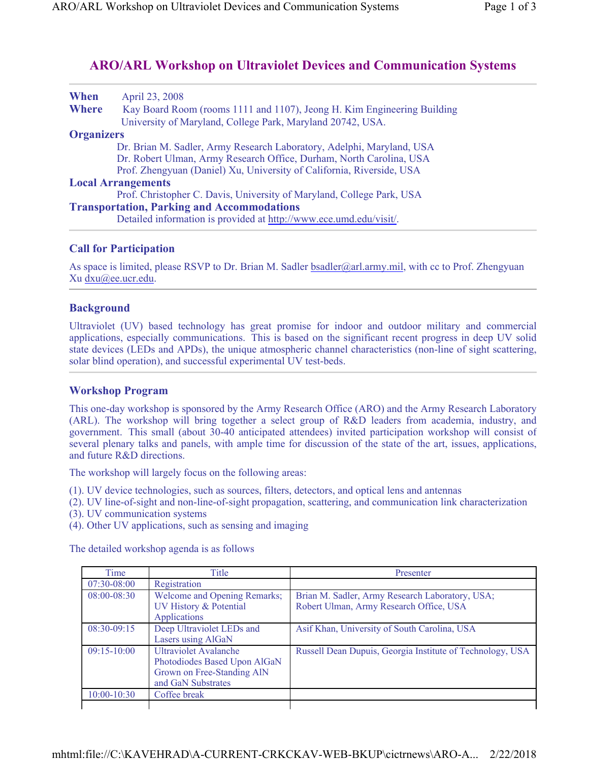## **ARO/ARL Workshop on Ultraviolet Devices and Communication Systems**

| April 23, 2008                                                          |
|-------------------------------------------------------------------------|
| Kay Board Room (rooms 1111 and 1107), Jeong H. Kim Engineering Building |
| University of Maryland, College Park, Maryland 20742, USA.              |
| <b>Organizers</b>                                                       |
| Dr. Brian M. Sadler, Army Research Laboratory, Adelphi, Maryland, USA   |
| Dr. Robert Ulman, Army Research Office, Durham, North Carolina, USA     |
| Prof. Zhengyuan (Daniel) Xu, University of California, Riverside, USA   |
| <b>Local Arrangements</b>                                               |
| Prof. Christopher C. Davis, University of Maryland, College Park, USA   |
| <b>Transportation, Parking and Accommodations</b>                       |
| Detailed information is provided at http://www.ece.umd.edu/visit/.      |
|                                                                         |

## **Call for Participation**

As space is limited, please RSVP to Dr. Brian M. Sadler bsadler@arl.army.mil, with cc to Prof. Zhengyuan Xu dxu@ee.ucr.edu.

## **Background**

Ultraviolet (UV) based technology has great promise for indoor and outdoor military and commercial applications, especially communications. This is based on the significant recent progress in deep UV solid state devices (LEDs and APDs), the unique atmospheric channel characteristics (non-line of sight scattering, solar blind operation), and successful experimental UV test-beds.

## **Workshop Program**

This one-day workshop is sponsored by the Army Research Office (ARO) and the Army Research Laboratory (ARL). The workshop will bring together a select group of R&D leaders from academia, industry, and government. This small (about 30-40 anticipated attendees) invited participation workshop will consist of several plenary talks and panels, with ample time for discussion of the state of the art, issues, applications, and future R&D directions.

The workshop will largely focus on the following areas:

- (1). UV device technologies, such as sources, filters, detectors, and optical lens and antennas
- (2). UV line-of-sight and non-line-of-sight propagation, scattering, and communication link characterization (3). UV communication systems
- 
- (4). Other UV applications, such as sensing and imaging

The detailed workshop agenda is as follows

| Time            | Title                                                                                                            | Presenter                                                                                  |
|-----------------|------------------------------------------------------------------------------------------------------------------|--------------------------------------------------------------------------------------------|
| 07:30-08:00     | Registration                                                                                                     |                                                                                            |
| 08:00-08:30     | <b>Welcome and Opening Remarks;</b><br>UV History & Potential<br><b>Applications</b>                             | Brian M. Sadler, Army Research Laboratory, USA;<br>Robert Ulman, Army Research Office, USA |
| $08:30-09:15$   | Deep Ultraviolet LEDs and<br>Lasers using AlGaN                                                                  | Asif Khan, University of South Carolina, USA                                               |
| $09:15-10:00$   | <b>Ultraviolet Avalanche</b><br>Photodiodes Based Upon AlGaN<br>Grown on Free-Standing AlN<br>and GaN Substrates | Russell Dean Dupuis, Georgia Institute of Technology, USA                                  |
| $10:00 - 10:30$ | Coffee break                                                                                                     |                                                                                            |
|                 |                                                                                                                  |                                                                                            |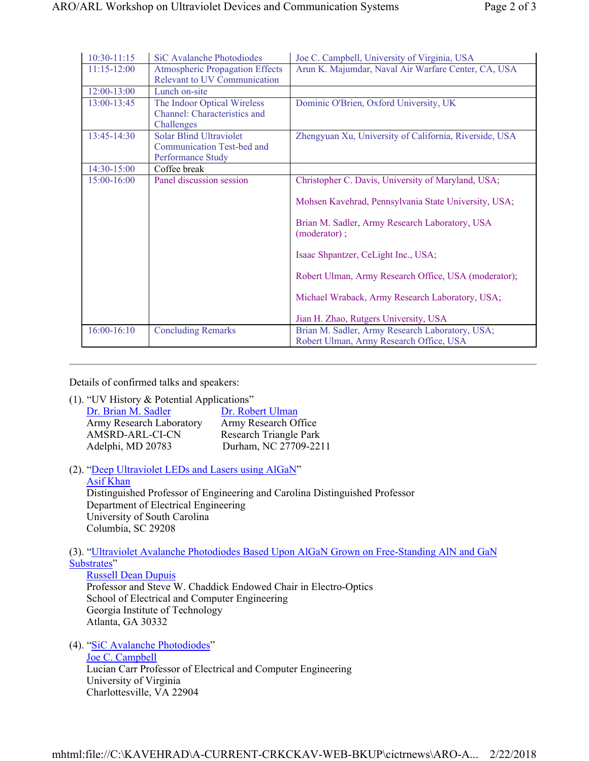| $10:30-11:15$ | SiC Avalanche Photodiodes                                                         | Joe C. Campbell, University of Virginia, USA                                                                                                                                                                                                                                                                                                                            |
|---------------|-----------------------------------------------------------------------------------|-------------------------------------------------------------------------------------------------------------------------------------------------------------------------------------------------------------------------------------------------------------------------------------------------------------------------------------------------------------------------|
| $11:15-12:00$ | <b>Atmospheric Propagation Effects</b><br>Relevant to UV Communication            | Arun K. Majumdar, Naval Air Warfare Center, CA, USA                                                                                                                                                                                                                                                                                                                     |
| 12:00-13:00   | Lunch on-site                                                                     |                                                                                                                                                                                                                                                                                                                                                                         |
| 13:00-13:45   | The Indoor Optical Wireless<br>Channel: Characteristics and<br>Challenges         | Dominic O'Brien, Oxford University, UK                                                                                                                                                                                                                                                                                                                                  |
| 13:45-14:30   | <b>Solar Blind Ultraviolet</b><br>Communication Test-bed and<br>Performance Study | Zhengyuan Xu, University of California, Riverside, USA                                                                                                                                                                                                                                                                                                                  |
| 14:30-15:00   | Coffee break                                                                      |                                                                                                                                                                                                                                                                                                                                                                         |
| 15:00-16:00   | Panel discussion session                                                          | Christopher C. Davis, University of Maryland, USA;<br>Mohsen Kavehrad, Pennsylvania State University, USA;<br>Brian M. Sadler, Army Research Laboratory, USA<br>(moderator);<br>Isaac Shpantzer, CeLight Inc., USA;<br>Robert Ulman, Army Research Office, USA (moderator);<br>Michael Wraback, Army Research Laboratory, USA;<br>Jian H. Zhao, Rutgers University, USA |
| $16:00-16:10$ | <b>Concluding Remarks</b>                                                         | Brian M. Sadler, Army Research Laboratory, USA;<br>Robert Ulman, Army Research Office, USA                                                                                                                                                                                                                                                                              |

Details of confirmed talks and speakers:

(1). "UV History & Potential Applications"

| Dr. Brian M. Sadler      | Dr. Robert Ulman       |
|--------------------------|------------------------|
| Army Research Laboratory | Army Research Office   |
| AMSRD-ARL-CI-CN          | Research Triangle Park |
| Adelphi, MD 20783        | Durham, NC 27709-2211  |

(2). "Deep Ultraviolet LEDs and Lasers using AlGaN"

Asif Khan Distinguished Professor of Engineering and Carolina Distinguished Professor Department of Electrical Engineering University of South Carolina Columbia, SC 29208

(3). "Ultraviolet Avalanche Photodiodes Based Upon AlGaN Grown on Free-Standing AlN and GaN Substrates"

Russell Dean Dupuis Professor and Steve W. Chaddick Endowed Chair in Electro-Optics School of Electrical and Computer Engineering Georgia Institute of Technology Atlanta, GA 30332

(4). "SiC Avalanche Photodiodes"

Joe C. Campbell Lucian Carr Professor of Electrical and Computer Engineering University of Virginia Charlottesville, VA 22904